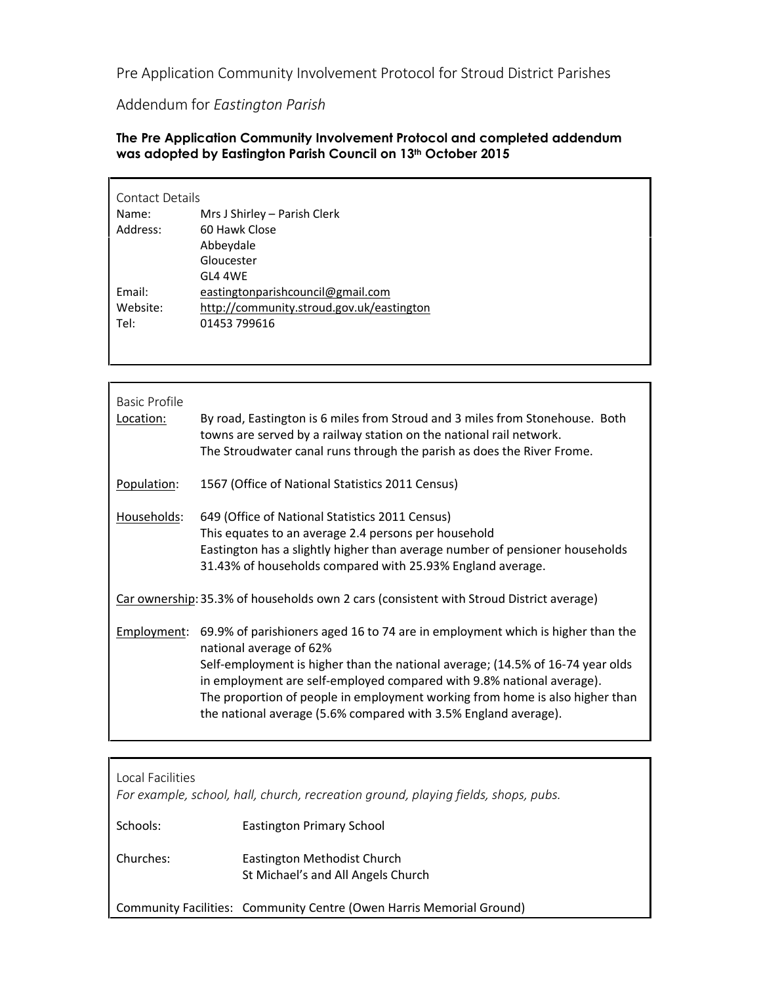**Pre Application Community Involvement Protocol for Stroud District Parishes**

**Addendum for** *Eastington Parish*

**The Pre Application Community Involvement Protocol and completed addendum was adopted by Eastington Parish Council on 13th October 2015**

| Contact Details |                                           |  |
|-----------------|-------------------------------------------|--|
| Name:           | Mrs J Shirley - Parish Clerk              |  |
| Address:        | 60 Hawk Close                             |  |
|                 | Abbeydale                                 |  |
|                 | Gloucester                                |  |
|                 | GL4 4WF                                   |  |
| Email:          | eastingtonparishcouncil@gmail.com         |  |
| Website:        | http://community.stroud.gov.uk/eastington |  |
| Tel:            | 01453 799616                              |  |
|                 |                                           |  |

| Basic Profile<br>Location:                                                              | By road, Eastington is 6 miles from Stroud and 3 miles from Stonehouse. Both<br>towns are served by a railway station on the national rail network.<br>The Stroudwater canal runs through the parish as does the River Frome.                                                                                                                                                                                           |  |
|-----------------------------------------------------------------------------------------|-------------------------------------------------------------------------------------------------------------------------------------------------------------------------------------------------------------------------------------------------------------------------------------------------------------------------------------------------------------------------------------------------------------------------|--|
| Population:                                                                             | 1567 (Office of National Statistics 2011 Census)                                                                                                                                                                                                                                                                                                                                                                        |  |
| Households:                                                                             | 649 (Office of National Statistics 2011 Census)<br>This equates to an average 2.4 persons per household<br>Eastington has a slightly higher than average number of pensioner households<br>31.43% of households compared with 25.93% England average.                                                                                                                                                                   |  |
| Car ownership: 35.3% of households own 2 cars (consistent with Stroud District average) |                                                                                                                                                                                                                                                                                                                                                                                                                         |  |
| Employment:                                                                             | 69.9% of parishioners aged 16 to 74 are in employment which is higher than the<br>national average of 62%<br>Self-employment is higher than the national average; (14.5% of 16-74 year olds<br>in employment are self-employed compared with 9.8% national average).<br>The proportion of people in employment working from home is also higher than<br>the national average (5.6% compared with 3.5% England average). |  |

**Local Facilities** *For example, school, hall, church, recreation ground, playing fields, shops, pubs.* Schools: Eastington Primary School Churches: Eastington Methodist Church St Michael's and All Angels Church

Community Facilities: Community Centre (Owen Harris Memorial Ground)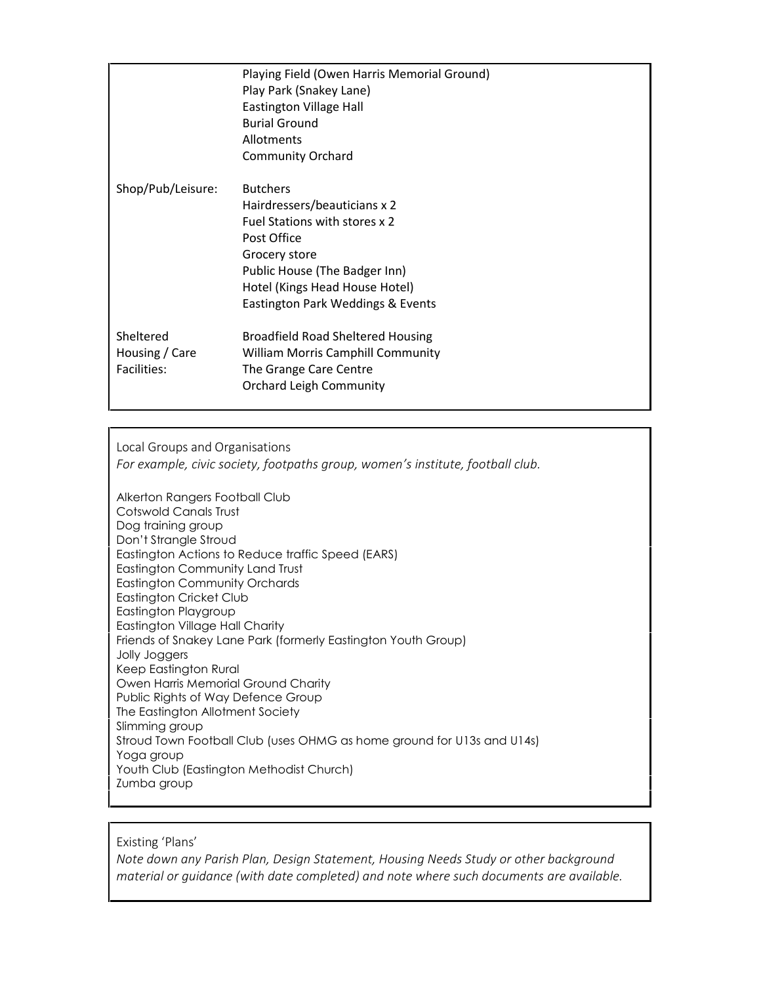|                                            | Playing Field (Owen Harris Memorial Ground)<br>Play Park (Snakey Lane)<br>Eastington Village Hall<br><b>Burial Ground</b><br>Allotments<br><b>Community Orchard</b>                                                      |
|--------------------------------------------|--------------------------------------------------------------------------------------------------------------------------------------------------------------------------------------------------------------------------|
| Shop/Pub/Leisure:                          | <b>Butchers</b><br>Hairdressers/beauticians x 2<br>Fuel Stations with stores x 2<br>Post Office<br>Grocery store<br>Public House (The Badger Inn)<br>Hotel (Kings Head House Hotel)<br>Eastington Park Weddings & Events |
| Sheltered<br>Housing / Care<br>Facilities: | Broadfield Road Sheltered Housing<br>William Morris Camphill Community<br>The Grange Care Centre<br><b>Orchard Leigh Community</b>                                                                                       |

**Local Groups and Organisations** *For example, civic society, footpaths group, women's institute, football club.*

Alkerton Rangers Football Club Cotswold Canals Trust Dog training group Don't Strangle Stroud Eastington Actions to Reduce traffic Speed (EARS) Eastington Community Land Trust Eastington Community Orchards Eastington Cricket Club Eastington Playgroup Eastington Village Hall Charity Friends of Snakey Lane Park (formerly Eastington Youth Group) Jolly Joggers Keep Eastington Rural Owen Harris Memorial Ground Charity Public Rights of Way Defence Group The Eastington Allotment Society Slimming group Stroud Town Football Club (uses OHMG as home ground for U13s and U14s) Yoga group Youth Club (Eastington Methodist Church) Zumba group

**Existing 'Plans'**

*Note down any Parish Plan, Design Statement, Housing Needs Study or other background material or guidance (with date completed) and note where such documents are available.*